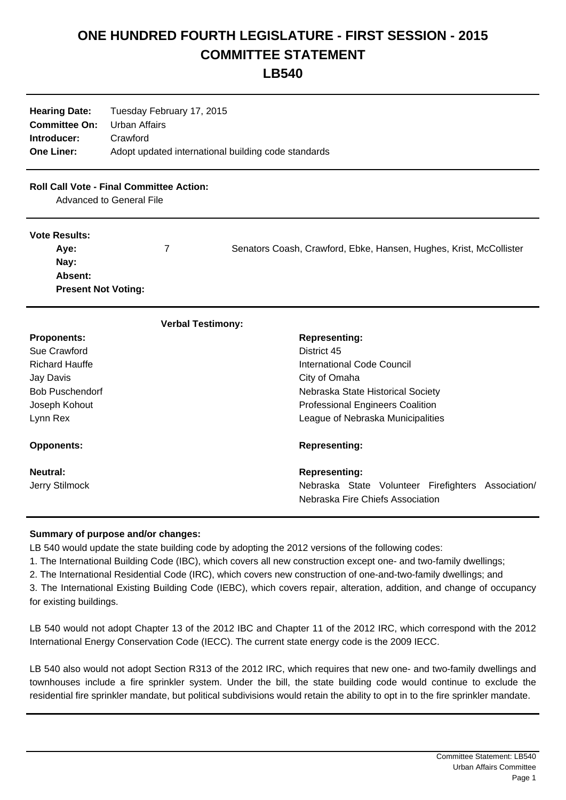## **ONE HUNDRED FOURTH LEGISLATURE - FIRST SESSION - 2015 COMMITTEE STATEMENT**

**LB540**

| <b>Hearing Date:</b>               | Tuesday February 17, 2015                           |
|------------------------------------|-----------------------------------------------------|
| <b>Committee On:</b> Urban Affairs |                                                     |
| Introducer:                        | Crawford                                            |
| <b>One Liner:</b>                  | Adopt updated international building code standards |

## **Roll Call Vote - Final Committee Action:**

Advanced to General File

## **Vote Results:**

| Ave:                       | Senators Coash, Crawford, Ebke, Hansen, Hughes, Krist, McCollister |
|----------------------------|--------------------------------------------------------------------|
| Nay:                       |                                                                    |
| <b>Absent:</b>             |                                                                    |
| <b>Present Not Voting:</b> |                                                                    |

| <b>Verbal Testimony:</b>   |                                                                                                                |
|----------------------------|----------------------------------------------------------------------------------------------------------------|
| <b>Proponents:</b>         | <b>Representing:</b>                                                                                           |
| Sue Crawford               | District 45                                                                                                    |
| <b>Richard Hauffe</b>      | International Code Council                                                                                     |
| Jay Davis                  | City of Omaha                                                                                                  |
| <b>Bob Puschendorf</b>     | Nebraska State Historical Society                                                                              |
| Joseph Kohout              | <b>Professional Engineers Coalition</b>                                                                        |
| Lynn Rex                   | League of Nebraska Municipalities                                                                              |
| <b>Opponents:</b>          | <b>Representing:</b>                                                                                           |
| Neutral:<br>Jerry Stilmock | <b>Representing:</b><br>Nebraska State Volunteer Firefighters Association/<br>Nebraska Fire Chiefs Association |

## **Summary of purpose and/or changes:**

LB 540 would update the state building code by adopting the 2012 versions of the following codes:

1. The International Building Code (IBC), which covers all new construction except one- and two-family dwellings;

2. The International Residential Code (IRC), which covers new construction of one-and-two-family dwellings; and

3. The International Existing Building Code (IEBC), which covers repair, alteration, addition, and change of occupancy for existing buildings.

LB 540 would not adopt Chapter 13 of the 2012 IBC and Chapter 11 of the 2012 IRC, which correspond with the 2012 International Energy Conservation Code (IECC). The current state energy code is the 2009 IECC.

LB 540 also would not adopt Section R313 of the 2012 IRC, which requires that new one- and two-family dwellings and townhouses include a fire sprinkler system. Under the bill, the state building code would continue to exclude the residential fire sprinkler mandate, but political subdivisions would retain the ability to opt in to the fire sprinkler mandate.